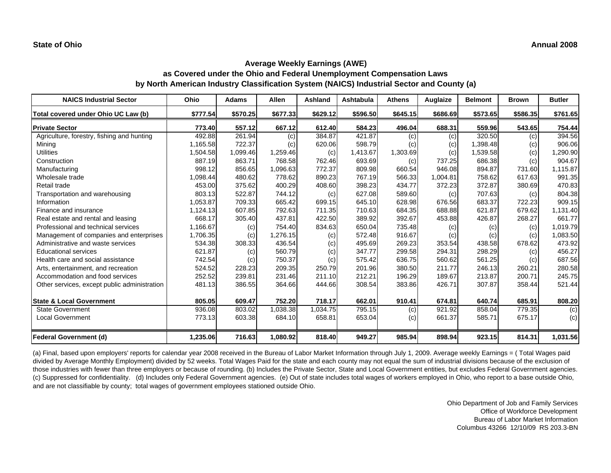| <b>NAICS Industrial Sector</b>               | Ohio     | <b>Adams</b> | <b>Allen</b> | <b>Ashland</b> | <b>Ashtabula</b> | <b>Athens</b> | Auglaize | <b>Belmont</b> | <b>Brown</b> | <b>Butler</b> |
|----------------------------------------------|----------|--------------|--------------|----------------|------------------|---------------|----------|----------------|--------------|---------------|
| Total covered under Ohio UC Law (b)          | \$777.54 | \$570.25     | \$677.33     | \$629.12       | \$596.50         | \$645.15      | \$686.69 | \$573.65       | \$586.35     | \$761.65      |
| <b>Private Sector</b>                        | 773.40   | 557.12       | 667.12       | 612.40         | 584.23           | 496.04        | 688.31   | 559.96         | 543.65       | 754.44        |
| Agriculture, forestry, fishing and hunting   | 492.88   | 261.94       | (c)          | 384.87         | 421.87           | (c)           | (c)      | 320.50         | (c)          | 394.56        |
| Mining                                       | 1,165.58 | 722.37       | (c)          | 620.06         | 598.79           | (c)           | (c)      | 1,398.48       | (c)          | 906.06        |
| <b>Utilities</b>                             | 1,504.58 | 1,099.46     | 1,259.46     | (c)            | 1,413.67         | 1,303.69      | (c)      | 1,539.58       | (c)          | ,290.90       |
| Construction                                 | 887.19   | 863.71       | 768.58       | 762.46         | 693.69           | (c)           | 737.25   | 686.38         | (c)          | 904.67        |
| Manufacturing                                | 998.12   | 856.65       | 1,096.63     | 772.37         | 809.98           | 660.54        | 946.08   | 894.87         | 731.60       | 1,115.87      |
| Wholesale trade                              | 1,098.44 | 480.62       | 778.62       | 890.23         | 767.19           | 566.33        | 1,004.81 | 758.62         | 617.63       | 991.35        |
| Retail trade                                 | 453.00   | 375.62       | 400.29       | 408.60         | 398.23           | 434.77        | 372.23   | 372.87         | 380.69       | 470.83        |
| Transportation and warehousing               | 803.13   | 522.87       | 744.12       | (c)            | 627.08           | 589.60        | (c)      | 707.63         | (c)          | 804.38        |
| Information                                  | 1,053.87 | 709.33       | 665.42       | 699.15         | 645.10           | 628.98        | 676.56   | 683.37         | 722.23       | 909.15        |
| Finance and insurance                        | 1,124.13 | 607.85       | 792.63       | 711.35         | 710.63           | 684.35        | 688.88   | 621.87         | 679.62       | 1,131.40      |
| Real estate and rental and leasing           | 668.17   | 305.40       | 437.81       | 422.50         | 389.92           | 392.67        | 453.88   | 426.87         | 268.27       | 661.77        |
| Professional and technical services          | 1,166.67 | (c)          | 754.40       | 834.63         | 650.04           | 735.48        | (c)      | (c)            | (c)          | 1,019.79      |
| Management of companies and enterprises      | 1,706.35 | (c)          | 1,276.15     | (c)            | 572.48           | 916.67        | (c)      | (c)            | (c)          | 1,083.50      |
| Administrative and waste services            | 534.38   | 308.33       | 436.54       | (c)            | 495.69           | 269.23        | 353.54   | 438.58         | 678.62       | 473.92        |
| <b>Educational services</b>                  | 621.87   | (c)          | 560.79       | (c)            | 347.77           | 299.58        | 294.31   | 298.29         | (c)          | 456.27        |
| Health care and social assistance            | 742.54   | (c)          | 750.37       | (c)            | 575.42           | 636.75        | 560.62   | 561.25         | (c)          | 687.56        |
| Arts, entertainment, and recreation          | 524.52   | 228.23       | 209.35       | 250.79         | 201.96           | 380.50        | 211.77   | 246.13         | 260.21       | 280.58        |
| Accommodation and food services              | 252.52   | 239.81       | 231.46       | 211.10         | 212.21           | 196.29        | 189.67   | 213.87         | 200.71       | 245.75        |
| Other services, except public administration | 481.13   | 386.55       | 364.66       | 444.66         | 308.54           | 383.86        | 426.71   | 307.87         | 358.44       | 521.44        |
| <b>State &amp; Local Government</b>          | 805.05   | 609.47       | 752.20       | 718.17         | 662.01           | 910.41        | 674.81   | 640.74         | 685.91       | 808.20        |
| <b>State Government</b>                      | 936.08   | 803.02       | ,038.38      | 1,034.75       | 795.15           | (c)           | 921.92   | 858.04         | 779.35       | (c)           |
| <b>Local Government</b>                      | 773.13   | 603.38       | 684.10       | 658.81         | 653.04           | (c)           | 661.37   | 585.71         | 675.17       | (c)           |
| <b>Federal Government (d)</b>                | 1,235.06 | 716.63       | 1,080.92     | 818.40         | 949.27           | 985.94        | 898.94   | 923.15         | 814.31       | 1,031.56      |

(a) Final, based upon employers' reports for calendar year 2008 received in the Bureau of Labor Market Information through July 1, 2009. Average weekly Earnings = ( Total Wages paid divided by Average Monthly Employment) divided by 52 weeks. Total Wages Paid for the state and each county may not equal the sum of industrial divisions because of the exclusion of those industries with fewer than three employers or because of rounding. (b) Includes the Private Sector, State and Local Government entities, but excludes Federal Government agencies. (c) Suppressed for confidentiality. (d) Includes only Federal Government agencies. (e) Out of state includes total wages of workers employed in Ohio, who report to a base outside Ohio, and are not classifiable by county; total wages of government employees stationed outside Ohio.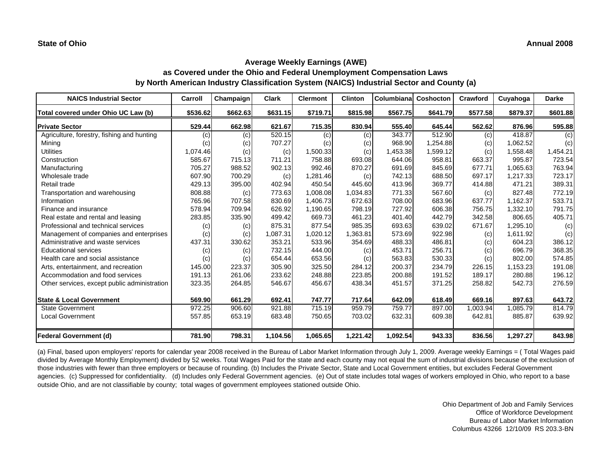| <b>NAICS Industrial Sector</b>               | Carroll             | Champaign | <b>Clark</b> | <b>Clermont</b> | <b>Clinton</b> | <b>Columbiana</b> | <b>Coshocton</b> | Crawford | Cuyahoga | <b>Darke</b> |
|----------------------------------------------|---------------------|-----------|--------------|-----------------|----------------|-------------------|------------------|----------|----------|--------------|
| Total covered under Ohio UC Law (b)          | \$536.62            | \$662.63  | \$631.15     | \$719.71        | \$815.98       | \$567.75          | \$641.79         | \$577.58 | \$879.37 | \$601.88     |
| <b>Private Sector</b>                        | 529.44              | 662.98    | 621.67       | 715.35          | 830.94         | 555.40            | 645.44           | 562.62   | 876.96   | 595.88       |
| Agriculture, forestry, fishing and hunting   | (c)                 | (c)       | 520.15       | (c)             | (c)            | 343.77            | 512.90           | (c)      | 418.87   | (c)          |
| Mining                                       | (c)                 | (c)       | 707.27       | (c)             | (c)            | 968.90            | 1,254.88         | (c)      | 1,062.52 | (c)          |
| <b>Utilities</b>                             | 1,074.46            | (c)       | (c)          | 1,500.33        | (c)            | 1,453.38          | 1,599.12         | (c)      | 1,558.48 | 1,454.21     |
| Construction                                 | 585.67              | 715.13    | 711.21       | 758.88          | 693.08         | 644.06            | 958.81           | 663.37   | 995.87   | 723.54       |
| Manufacturing                                | 705.27              | 988.52    | 902.13       | 992.46          | 870.27         | 691.69            | 845.69           | 677.71   | 1,065.63 | 763.94       |
| Wholesale trade                              | 607.90              | 700.29    | (c)          | 1,281.46        | (c)            | 742.13            | 688.50           | 697.17   | 1,217.33 | 723.17       |
| Retail trade                                 | 429.13              | 395.00    | 402.94       | 450.54          | 445.60         | 413.96            | 369.77           | 414.88   | 471.21   | 389.31       |
| Transportation and warehousing               | 808.88              | (c)       | 773.63       | 1,008.08        | 1,034.83       | 771.33            | 567.60           | (c)      | 827.48   | 772.19       |
| Information                                  | 765.96              | 707.58    | 830.69       | 1,406.73        | 672.63         | 708.00            | 683.96           | 637.77   | 1,162.37 | 533.71       |
| Finance and insurance                        | 578.94              | 709.94    | 626.92       | 1,190.65        | 798.19         | 727.92            | 606.38           | 756.75   | 1,332.10 | 791.75       |
| Real estate and rental and leasing           | 283.85              | 335.90    | 499.42       | 669.73          | 461.23         | 401.40            | 442.79           | 342.58   | 806.65   | 405.71       |
| Professional and technical services          | (c)                 | (c)       | 875.31       | 877.54          | 985.35         | 693.63            | 639.02           | 671.67   | 1,295.10 | (c)          |
| Management of companies and enterprises      | (c)                 | (c)       | 1,087.31     | 1,020.12        | 1,363.81       | 573.69            | 922.98           | (c)      | 1,611.92 | (c)          |
| Administrative and waste services            | 437.31              | 330.62    | 353.21       | 533.96          | 354.69         | 488.33            | 486.81           | (c)      | 604.23   | 386.12       |
| <b>Educational services</b>                  | (c)                 | (c)       | 732.15       | 444.00          | (c)            | 453.71            | 256.71           | (c)      | 696.79   | 368.35       |
| Health care and social assistance            | (c)                 | (c)       | 654.44       | 653.56          | (c)            | 563.83            | 530.33           | (c)      | 802.00   | 574.85       |
| Arts, entertainment, and recreation          | 145.00              | 223.37    | 305.90       | 325.50          | 284.12         | 200.37            | 234.79           | 226.15   | 1,153.23 | 191.08       |
| Accommodation and food services              | 191.13              | 261.06    | 233.62       | 248.88          | 223.85         | 200.88            | 191.52           | 189.17   | 280.88   | 196.12       |
| Other services, except public administration | 323.35              | 264.85    | 546.67       | 456.67          | 438.34         | 451.57            | 371.25           | 258.82   | 542.73   | 276.59       |
| <b>State &amp; Local Government</b>          | 569.90              | 661.29    | 692.41       | 747.77          | 717.64         | 642.09            | 618.49           | 669.16   | 897.63   | 643.72       |
| <b>State Government</b>                      | $\overline{972.25}$ | 906.60    | 921.88       | 715.19          | 959.79         | 759.77            | 897.00           | 1,003.94 | 1,085.79 | 814.79       |
| <b>Local Government</b>                      | 557.85              | 653.19    | 683.48       | 750.65          | 703.02         | 632.31            | 609.38           | 642.81   | 885.87   | 639.92       |
| <b>Federal Government (d)</b>                | 781.90              | 798.31    | 1,104.56     | 1,065.65        | 1,221.42       | 1,092.54          | 943.33           | 836.56   | 1,297.27 | 843.98       |

(a) Final, based upon employers' reports for calendar year 2008 received in the Bureau of Labor Market Information through July 1, 2009. Average weekly Earnings = ( Total Wages paid divided by Average Monthly Employment) divided by 52 weeks. Total Wages Paid for the state and each county may not equal the sum of industrial divisions because of the exclusion of those industries with fewer than three employers or because of rounding. (b) Includes the Private Sector, State and Local Government entities, but excludes Federal Government agencies. (c) Suppressed for confidentiality. (d) Includes only Federal Government agencies. (e) Out of state includes total wages of workers employed in Ohio, who report to a base outside Ohio, and are not classifiable by county; total wages of government employees stationed outside Ohio.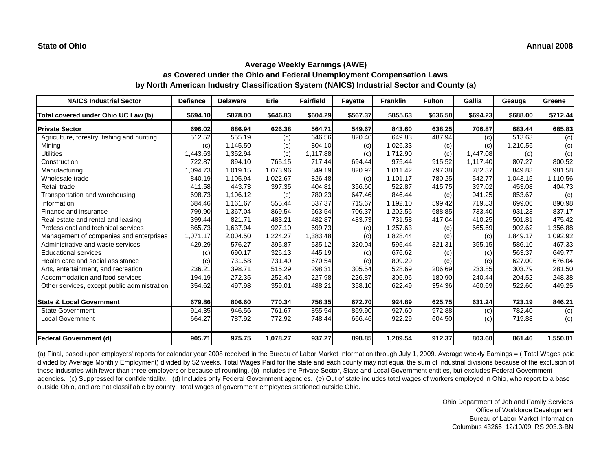| <b>NAICS Industrial Sector</b>               | <b>Defiance</b> | <b>Delaware</b> | Erie     | <b>Fairfield</b> | <b>Fayette</b> | <b>Franklin</b> | <b>Fulton</b> | Gallia   | Geauga   | Greene   |
|----------------------------------------------|-----------------|-----------------|----------|------------------|----------------|-----------------|---------------|----------|----------|----------|
| Total covered under Ohio UC Law (b)          | \$694.10        | \$878.00        | \$646.83 | \$604.29         | \$567.37       | \$855.63        | \$636.50      | \$694.23 | \$688.00 | \$712.44 |
| <b>Private Sector</b>                        | 696.02          | 886.94          | 626.38   | 564.71           | 549.67         | 843.60          | 638.25        | 706.87   | 683.44   | 685.83   |
| Agriculture, forestry, fishing and hunting   | 512.52          | 555.19          | (c)      | 646.56           | 820.40         | 649.83          | 487.94        | (c)      | 513.63   | (c)      |
| Mining                                       | (c)             | 1,145.50        | (c)      | 804.10           | (c)            | 1,026.33        | (c)           | (c)      | 1,210.56 | (c)      |
| <b>Utilities</b>                             | 1,443.63        | 1,352.94        | (c)      | 1,117.88         | (c)            | 1,712.90        | (c)           | 1,447.08 | (c)      | (c)      |
| Construction                                 | 722.87          | 894.10          | 765.15   | 717.44           | 694.44         | 975.44          | 915.52        | 1,117.40 | 807.27   | 800.52   |
| Manufacturing                                | 1,094.73        | 1,019.15        | 1,073.96 | 849.19           | 820.92         | 1,011.42        | 797.38        | 782.37   | 849.83   | 981.58   |
| Wholesale trade                              | 840.19          | 1,105.94        | 1,022.67 | 826.48           | (c)            | 1,101.17        | 780.25        | 542.77   | 1,043.15 | 1,110.56 |
| Retail trade                                 | 411.58          | 443.73          | 397.35   | 404.81           | 356.60         | 522.87          | 415.75        | 397.02   | 453.08   | 404.73   |
| Transportation and warehousing               | 698.73          | 1,106.12        | (c)      | 780.23           | 647.46         | 846.44          | (c)           | 941.25   | 853.67   | (c)      |
| Information                                  | 684.46          | 1.161.67        | 555.44   | 537.37           | 715.67         | 1,192.10        | 599.42        | 719.83   | 699.06   | 890.98   |
| Finance and insurance                        | 799.90          | 1,367.04        | 869.54   | 663.54           | 706.37         | 1,202.56        | 688.85        | 733.40   | 931.23   | 837.17   |
| Real estate and rental and leasing           | 399.44          | 821.71          | 483.21   | 482.87           | 483.73         | 731.58          | 417.04        | 410.25   | 501.81   | 475.42   |
| Professional and technical services          | 865.73          | 1,637.94        | 927.10   | 699.73           | (c)            | 1,257.63        | (c)           | 665.69   | 902.62   | 1,356.88 |
| Management of companies and enterprises      | 1,071.17        | 2,004.50        | 1,224.27 | 1,383.48         | (c)            | 1,828.44        | (c)           | (c)      | 1,849.17 | 1,092.92 |
| Administrative and waste services            | 429.29          | 576.27          | 395.87   | 535.12           | 320.04         | 595.44          | 321.31        | 355.15   | 586.10   | 467.33   |
| <b>Educational services</b>                  | (c)             | 690.17          | 326.13   | 445.19           | (c)            | 676.62          | (c)           | (c)      | 563.37   | 649.77   |
| Health care and social assistance            | (c)             | 731.58          | 731.40   | 670.54           | (c)            | 809.29          | (c)           | (c)      | 627.00   | 676.04   |
| Arts, entertainment, and recreation          | 236.21          | 398.71          | 515.29   | 298.31           | 305.54         | 528.69          | 206.69        | 233.85   | 303.79   | 281.50   |
| Accommodation and food services              | 194.19          | 272.35          | 252.40   | 227.98           | 226.87         | 305.96          | 180.90        | 240.44   | 204.52   | 248.38   |
| Other services, except public administration | 354.62          | 497.98          | 359.01   | 488.21           | 358.10         | 622.49          | 354.36        | 460.69   | 522.60   | 449.25   |
| <b>State &amp; Local Government</b>          | 679.86          | 806.60          | 770.34   | 758.35           | 672.70         | 924.89          | 625.75        | 631.24   | 723.19   | 846.21   |
| <b>State Government</b>                      | 914.35          | 946.56          | 761.67   | 855.54           | 869.90         | 927.60          | 972.88        | (c)      | 782.40   | (c)      |
| <b>Local Government</b>                      | 664.27          | 787.92          | 772.92   | 748.44           | 666.46         | 922.29          | 604.50        | (c)      | 719.88   | (c)      |
| <b>Federal Government (d)</b>                | 905.71          | 975.75          | 1,078.27 | 937.27           | 898.85         | 1,209.54        | 912.37        | 803.60   | 861.46   | 1,550.81 |

(a) Final, based upon employers' reports for calendar year 2008 received in the Bureau of Labor Market Information through July 1, 2009. Average weekly Earnings = ( Total Wages paid divided by Average Monthly Employment) divided by 52 weeks. Total Wages Paid for the state and each county may not equal the sum of industrial divisions because of the exclusion of those industries with fewer than three employers or because of rounding. (b) Includes the Private Sector, State and Local Government entities, but excludes Federal Government agencies. (c) Suppressed for confidentiality. (d) Includes only Federal Government agencies. (e) Out of state includes total wages of workers employed in Ohio, who report to a base outside Ohio, and are not classifiable by county; total wages of government employees stationed outside Ohio.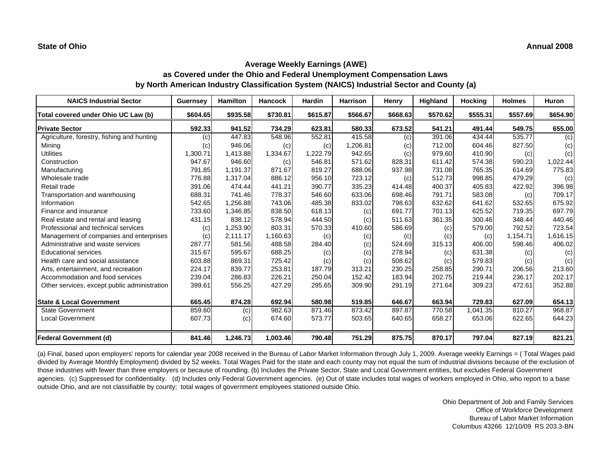| <b>NAICS Industrial Sector</b>               | <b>Guernsey</b> | <b>Hamilton</b> | <b>Hancock</b> | Hardin   | <b>Harrison</b> | Henry    | Highland | <b>Hocking</b> | <b>Holmes</b> | <b>Huron</b> |
|----------------------------------------------|-----------------|-----------------|----------------|----------|-----------------|----------|----------|----------------|---------------|--------------|
| Total covered under Ohio UC Law (b)          | \$604.65        | \$935.58        | \$730.81       | \$615.87 | \$566.67        | \$668.63 | \$570.62 | \$555.31       | \$557.69      | \$654.90     |
| <b>Private Sector</b>                        | 592.33          | 941.52          | 734.29         | 623.81   | 580.33          | 673.52   | 541.21   | 491.44         | 549.75        | 655.00       |
| Agriculture, forestry, fishing and hunting   | (c)             | 447.83          | 548.96         | 552.81   | 415.58          | (c)      | 391.06   | 434.44         | 535.77        | (c)          |
| Mining                                       | (c)             | 946.06          | (c)            | (c)      | 1,206.81        | (c)      | 712.00   | 604.46         | 827.50        | (c)          |
| <b>Utilities</b>                             | 1,300.71        | 1,413.88        | 1,334.67       | 1.222.79 | 942.65          | (c)      | 979.60   | 410.90         | (c)           | (c)          |
| Construction                                 | 947.67          | 946.60          | (c)            | 546.81   | 571.62          | 828.31   | 611.42   | 574.38         | 590.23        | 1,022.44     |
| Manufacturing                                | 791.85          | 1.191.37        | 871.67         | 819.27   | 688.06          | 937.98   | 731.08   | 765.35         | 614.69        | 775.83       |
| Wholesale trade                              | 776.88          | 1,317.04        | 886.12         | 956.10   | 723.12          | (c)      | 512.73   | 998.85         | 479.29        | (c)          |
| Retail trade                                 | 391.06          | 474.44          | 441.21         | 390.77   | 335.23          | 414.48   | 400.37   | 405.83         | 422.92        | 396.98       |
| Transportation and warehousing               | 688.31          | 741.46          | 778.37         | 546.60   | 633.06          | 698.46   | 791.71   | 583.08         | (c)           | 709.17       |
| Information                                  | 542.65          | 1,256.88        | 743.06         | 485.38   | 833.02          | 798.63   | 632.62   | 641.62         | 532.65        | 675.92       |
| Finance and insurance                        | 733.60          | 1,346.85        | 838.50         | 618.13   | (c)             | 691.77   | 701.13   | 625.52         | 719.35        | 697.79       |
| Real estate and rental and leasing           | 431.15          | 838.12          | 578.94         | 444.50   | (c)             | 511.63   | 361.35   | 300.46         | 348.44        | 440.46       |
| Professional and technical services          | (c)             | 1,253.90        | 803.31         | 570.33   | 410.60          | 586.69   | (c)      | 579.00         | 792.52        | 723.54       |
| Management of companies and enterprises      | (c)             | 2,111.17        | 1,160.63       | (c)      | (c)             | (c)      | (c)      | (c)            | 1,154.71      | 1,616.15     |
| Administrative and waste services            | 287.77          | 581.56          | 488.58         | 284.40   | (c)             | 524.69   | 315.13   | 406.00         | 598.46        | 406.02       |
| <b>Educational services</b>                  | 315.67          | 595.67          | 688.25         | (c)      | (c)             | 278.94   | (c)      | 631.38         | (c)           | (c)          |
| Health care and social assistance            | 603.88          | 869.31          | 725.42         | (c)      | (c)             | 508.62   | (c)      | 579.83         | (c)           | (c)          |
| Arts, entertainment, and recreation          | 224.17          | 839.77          | 253.81         | 187.79   | 313.21          | 230.25   | 258.85   | 290.71         | 206.56        | 213.60       |
| Accommodation and food services              | 239.04          | 286.83          | 226.21         | 250.04   | 152.42          | 183.94   | 202.75   | 219.44         | 236.17        | 202.17       |
| Other services, except public administration | 399.61          | 556.25          | 427.29         | 295.65   | 309.90          | 291.19   | 271.64   | 309.23         | 472.61        | 352.88       |
| <b>State &amp; Local Government</b>          | 665.45          | 874.28          | 692.94         | 580.98   | 519.85          | 646.67   | 663.94   | 729.83         | 627.09        | 654.13       |
| <b>State Government</b>                      | 859.60          | (c)             | 982.63         | 871.46   | 873.42          | 897.87   | 770.58   | 1,041.35       | 810.27        | 968.87       |
| <b>Local Government</b>                      | 607.73          | (c)             | 674.60         | 573.77   | 503.65          | 640.65   | 658.27   | 653.06         | 622.65        | 644.23       |
| <b>Federal Government (d)</b>                | 841.46          | 1,246.73        | 1,003.46       | 790.48   | 751.29          | 875.75   | 870.17   | 797.04         | 827.19        | 821.21       |

(a) Final, based upon employers' reports for calendar year 2008 received in the Bureau of Labor Market Information through July 1, 2009. Average weekly Earnings = ( Total Wages paid divided by Average Monthly Employment) divided by 52 weeks. Total Wages Paid for the state and each county may not equal the sum of industrial divisions because of the exclusion of those industries with fewer than three employers or because of rounding. (b) Includes the Private Sector, State and Local Government entities, but excludes Federal Government agencies. (c) Suppressed for confidentiality. (d) Includes only Federal Government agencies. (e) Out of state includes total wages of workers employed in Ohio, who report to a base outside Ohio, and are not classifiable by county; total wages of government employees stationed outside Ohio.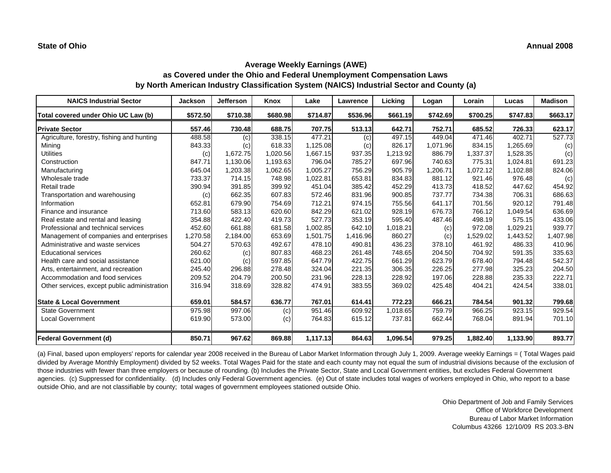| <b>NAICS Industrial Sector</b>               | <b>Jackson</b> | <b>Jefferson</b> | Knox     | Lake     | Lawrence | Licking  | Logan    | Lorain   | Lucas    | <b>Madison</b> |
|----------------------------------------------|----------------|------------------|----------|----------|----------|----------|----------|----------|----------|----------------|
| Total covered under Ohio UC Law (b)          | \$572.50       | \$710.38         | \$680.98 | \$714.87 | \$536.96 | \$661.19 | \$742.69 | \$700.25 | \$747.83 | \$663.17       |
| <b>Private Sector</b>                        | 557.46         | 730.48           | 688.75   | 707.75   | 513.13   | 642.71   | 752.71   | 685.52   | 726.33   | 623.17         |
| Agriculture, forestry, fishing and hunting   | 488.58         | (c)              | 338.15   | 477.21   | (c)      | 497.15   | 449.04   | 471.46   | 402.71   | 527.73         |
| Mining                                       | 843.33         | (c)              | 618.33   | 1,125.08 | (c)      | 826.17   | 1,071.96 | 834.15   | 1,265.69 | (c)            |
| <b>Utilities</b>                             | (c)            | 1,672.75         | 1,020.56 | 1,667.15 | 937.35   | 1,213.92 | 886.79   | 1,337.37 | 1,528.35 | (c)            |
| Construction                                 | 847.71         | 1,130.06         | 1,193.63 | 796.04   | 785.27   | 697.96   | 740.63   | 775.31   | 1,024.81 | 691.23         |
| Manufacturing                                | 645.04         | 1,203.38         | 1,062.65 | 1.005.27 | 756.29   | 905.79   | 1,206.71 | 1,072.12 | 1,102.88 | 824.06         |
| Wholesale trade                              | 733.37         | 714.15           | 748.98   | 1,022.81 | 653.81   | 834.83   | 881.12   | 921.46   | 976.48   | (c)            |
| Retail trade                                 | 390.94         | 391.85           | 399.92   | 451.04   | 385.42   | 452.29   | 413.73   | 418.52   | 447.62   | 454.92         |
| Transportation and warehousing               | (c)            | 662.35           | 607.83   | 572.46   | 831.96   | 900.85   | 737.77   | 734.38   | 706.31   | 686.63         |
| Information                                  | 652.81         | 679.90           | 754.69   | 712.21   | 974.15   | 755.56   | 641.17   | 701.56   | 920.12   | 791.48         |
| Finance and insurance                        | 713.60         | 583.13           | 620.60   | 842.29   | 621.02   | 928.19   | 676.73   | 766.12   | 1,049.54 | 636.69         |
| Real estate and rental and leasing           | 354.88         | 422.40           | 419.73   | 527.73   | 353.19   | 595.40   | 487.46   | 498.19   | 575.15   | 433.06         |
| Professional and technical services          | 452.60         | 661.88           | 681.58   | 1,002.85 | 642.10   | 1,018.21 | (c)      | 972.08   | 1,029.21 | 939.77         |
| Management of companies and enterprises      | 1,270.58       | 2,184.00         | 653.69   | 1,501.75 | 1,416.96 | 860.27   | (c)      | 1,529.02 | 1,443.52 | 1,407.98       |
| Administrative and waste services            | 504.27         | 570.63           | 492.67   | 478.10   | 490.81   | 436.23   | 378.10   | 461.92   | 486.33   | 410.96         |
| <b>Educational services</b>                  | 260.62         | (c)              | 807.83   | 468.23   | 261.48   | 748.65   | 204.50   | 704.92   | 591.35   | 335.63         |
| Health care and social assistance            | 621.00         | (c)              | 597.85   | 647.79   | 422.75   | 661.29   | 623.79   | 678.40   | 794.48   | 542.37         |
| Arts, entertainment, and recreation          | 245.40         | 296.88           | 278.48   | 324.04   | 221.35   | 306.35   | 226.25   | 277.98   | 325.23   | 204.50         |
| Accommodation and food services              | 209.52         | 204.79           | 200.50   | 231.96   | 228.13   | 228.92   | 197.06   | 228.88   | 235.33   | 222.71         |
| Other services, except public administration | 316.94         | 318.69           | 328.82   | 474.91   | 383.55   | 369.02   | 425.48   | 404.21   | 424.54   | 338.01         |
| <b>State &amp; Local Government</b>          | 659.01         | 584.57           | 636.77   | 767.01   | 614.41   | 772.23   | 666.21   | 784.54   | 901.32   | 799.68         |
| <b>State Government</b>                      | 975.98         | 997.06           | (c)      | 951.46   | 609.92   | 1,018.65 | 759.79   | 966.25   | 923.15   | 929.54         |
| <b>Local Government</b>                      | 619.90         | 573.00           | (c)      | 764.83   | 615.12   | 737.81   | 662.44   | 768.04   | 891.94   | 701.10         |
| <b>Federal Government (d)</b>                | 850.71         | 967.62           | 869.88   | 1,117.13 | 864.63   | 1,096.54 | 979.25   | 1,882.40 | 1,133.90 | 893.77         |

(a) Final, based upon employers' reports for calendar year 2008 received in the Bureau of Labor Market Information through July 1, 2009. Average weekly Earnings = ( Total Wages paid divided by Average Monthly Employment) divided by 52 weeks. Total Wages Paid for the state and each county may not equal the sum of industrial divisions because of the exclusion of those industries with fewer than three employers or because of rounding. (b) Includes the Private Sector, State and Local Government entities, but excludes Federal Government agencies. (c) Suppressed for confidentiality. (d) Includes only Federal Government agencies. (e) Out of state includes total wages of workers employed in Ohio, who report to a base outside Ohio, and are not classifiable by county; total wages of government employees stationed outside Ohio.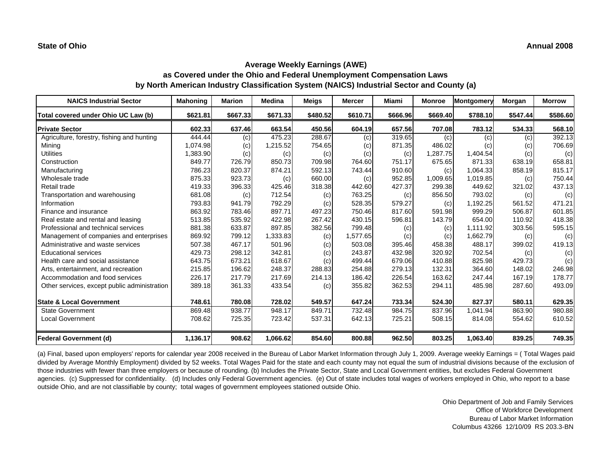| <b>NAICS Industrial Sector</b>               | <b>Mahoning</b> | <b>Marion</b> | <b>Medina</b> | <b>Meigs</b> | <b>Mercer</b> | Miami    | <b>Monroe</b> | Montgomery | Morgan   | <b>Morrow</b> |
|----------------------------------------------|-----------------|---------------|---------------|--------------|---------------|----------|---------------|------------|----------|---------------|
| Total covered under Ohio UC Law (b)          | \$621.81        | \$667.33      | \$671.33      | \$480.52     | \$610.71      | \$666.96 | \$669.40      | \$788.10   | \$547.44 | \$586.60      |
| <b>Private Sector</b>                        | 602.33          | 637.46        | 663.54        | 450.56       | 604.19        | 657.56   | 707.08        | 783.12     | 534.33   | 568.10        |
| Agriculture, forestry, fishing and hunting   | 444.44          | (c)           | 475.23        | 288.67       | (c)           | 319.65   | (c)           | (c)        | (c)      | 392.13        |
| Mining                                       | 1,074.98        | (c)           | 1,215.52      | 754.65       | (c)           | 871.35   | 486.02        | (c)        | (c)      | 706.69        |
| <b>Utilities</b>                             | 1,383.90        | (c)           | (c)           | (c)          | (c)           | (c)      | 1,287.75      | 1,404.54   | (c)      | (c)           |
| Construction                                 | 849.77          | 726.79        | 850.73        | 709.98       | 764.60        | 751.17   | 675.65        | 871.33     | 638.19   | 658.81        |
| Manufacturing                                | 786.23          | 820.37        | 874.21        | 592.13       | 743.44        | 910.60   | (c)           | 1.064.33   | 858.19   | 815.17        |
| Wholesale trade                              | 875.33          | 923.73        | (c)           | 660.00       | (c)           | 952.85   | 1,009.65      | 1,019.85   | (c)      | 750.44        |
| Retail trade                                 | 419.33          | 396.33        | 425.46        | 318.38       | 442.60        | 427.37   | 299.38        | 449.62     | 321.02   | 437.13        |
| Transportation and warehousing               | 681.08          | (c)           | 712.54        | (c)          | 763.25        | (c)      | 856.50        | 793.02     | (c)      | (c)           |
| Information                                  | 793.83          | 941.79        | 792.29        | (c)          | 528.35        | 579.27   | (c)           | 1,192.25   | 561.52   | 471.21        |
| Finance and insurance                        | 863.92          | 783.46        | 897.71        | 497.23       | 750.46        | 817.60   | 591.98        | 999.29     | 506.87   | 601.85        |
| Real estate and rental and leasing           | 513.85          | 535.92        | 422.98        | 267.42       | 430.15        | 596.81   | 143.79        | 654.00     | 110.92   | 418.38        |
| Professional and technical services          | 881.38          | 633.87        | 897.85        | 382.56       | 799.48        | (c)      | (c)           | 1,111.92   | 303.56   | 595.15        |
| Management of companies and enterprises      | 869.92          | 799.12        | 1,333.83      | (c)          | 1,577.65      | (c)      | (c)           | 1,662.79   | (c)      | (c)           |
| Administrative and waste services            | 507.38          | 467.17        | 501.96        | (c)          | 503.08        | 395.46   | 458.38        | 488.17     | 399.02   | 419.13        |
| <b>Educational services</b>                  | 429.73          | 298.12        | 342.81        | (c)          | 243.87        | 432.98   | 320.92        | 702.54     | (c)      | (c)           |
| Health care and social assistance            | 643.75          | 673.21        | 618.67        | (c)          | 499.44        | 679.06   | 410.88        | 825.98     | 429.73   | (c)           |
| Arts, entertainment, and recreation          | 215.85          | 196.62        | 248.37        | 288.83       | 254.88        | 279.13   | 132.31        | 364.60     | 148.02   | 246.98        |
| Accommodation and food services              | 226.17          | 217.79        | 217.69        | 214.13       | 186.42        | 226.54   | 163.62        | 247.44     | 167.19   | 178.77        |
| Other services, except public administration | 389.18          | 361.33        | 433.54        | (c)          | 355.82        | 362.53   | 294.11        | 485.98     | 287.60   | 493.09        |
| <b>State &amp; Local Government</b>          | 748.61          | 780.08        | 728.02        | 549.57       | 647.24        | 733.34   | 524.30        | 827.37     | 580.11   | 629.35        |
| <b>State Government</b>                      | 869.48          | 938.77        | 948.17        | 849.71       | 732.48        | 984.75   | 837.96        | 1,041.94   | 863.90   | 980.88        |
| Local Government                             | 708.62          | 725.35        | 723.42        | 537.31       | 642.13        | 725.21   | 508.15        | 814.08     | 554.62   | 610.52        |
| <b>Federal Government (d)</b>                | 1,136.17        | 908.62        | 1,066.62      | 854.60       | 800.88        | 962.50   | 803.25        | 1,063.40   | 839.25   | 749.35        |

(a) Final, based upon employers' reports for calendar year 2008 received in the Bureau of Labor Market Information through July 1, 2009. Average weekly Earnings = ( Total Wages paid divided by Average Monthly Employment) divided by 52 weeks. Total Wages Paid for the state and each county may not equal the sum of industrial divisions because of the exclusion of those industries with fewer than three employers or because of rounding. (b) Includes the Private Sector, State and Local Government entities, but excludes Federal Government agencies. (c) Suppressed for confidentiality. (d) Includes only Federal Government agencies. (e) Out of state includes total wages of workers employed in Ohio, who report to a base outside Ohio, and are not classifiable by county; total wages of government employees stationed outside Ohio.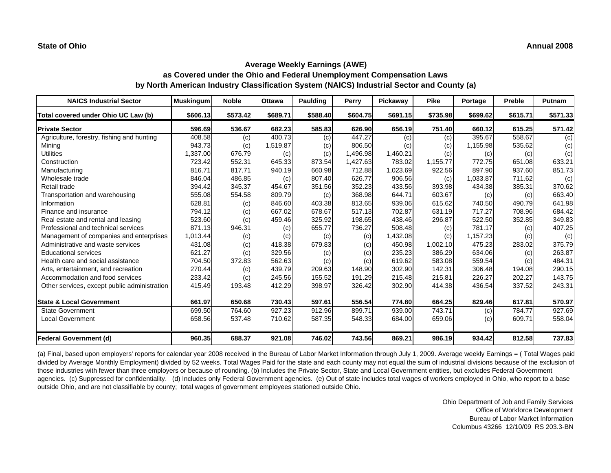| <b>NAICS Industrial Sector</b>               | <b>Muskingum</b> | <b>Noble</b> | <b>Ottawa</b> | <b>Paulding</b> | Perry    | Pickaway | <b>Pike</b> | Portage  | Preble   | Putnam   |
|----------------------------------------------|------------------|--------------|---------------|-----------------|----------|----------|-------------|----------|----------|----------|
| Total covered under Ohio UC Law (b)          | \$606.13         | \$573.42     | \$689.71      | \$588.40        | \$604.75 | \$691.15 | \$735.98    | \$699.62 | \$615.71 | \$571.33 |
| <b>Private Sector</b>                        | 596.69           | 536.67       | 682.23        | 585.83          | 626.90   | 656.19   | 751.40      | 660.12   | 615.25   | 571.42   |
| Agriculture, forestry, fishing and hunting   | 408.58           | (c)          | 400.73        | (c)             | 447.27   | (c)      | (c)         | 395.67   | 558.67   | (c)      |
| Mining                                       | 943.73           | (c)          | 1,519.87      | (c)             | 806.50   | (c)      | (c)         | 1,155.98 | 535.62   | (c)      |
| <b>Utilities</b>                             | 1,337.00         | 676.79       | (c)           | (c)             | 1,496.98 | 1,460.21 | (c)         | (c)      | (c)      | (c)      |
| Construction                                 | 723.42           | 552.31       | 645.33        | 873.54          | 1,427.63 | 783.02   | 1,155.77    | 772.75   | 651.08   | 633.21   |
| Manufacturing                                | 816.71           | 817.71       | 940.19        | 660.98          | 712.88   | 1,023.69 | 922.56      | 897.90   | 937.60   | 851.73   |
| Wholesale trade                              | 846.04           | 486.85       | (c)           | 807.40          | 626.77   | 906.56   | (c)         | 1,033.87 | 711.62   | (c)      |
| Retail trade                                 | 394.42           | 345.37       | 454.67        | 351.56          | 352.23   | 433.56   | 393.98      | 434.38   | 385.31   | 370.62   |
| Transportation and warehousing               | 555.08           | 554.58       | 809.79        | (c)             | 368.98   | 644.71   | 603.67      | (c)      | (c)      | 663.40   |
| Information                                  | 628.81           | (c)          | 846.60        | 403.38          | 813.65   | 939.06   | 615.62      | 740.50   | 490.79   | 641.98   |
| Finance and insurance                        | 794.12           | (c)          | 667.02        | 678.67          | 517.13   | 702.87   | 631.19      | 717.27   | 708.96   | 684.42   |
| Real estate and rental and leasing           | 523.60           | (c)          | 459.46        | 325.92          | 198.65   | 438.46   | 296.87      | 522.50   | 352.85   | 349.83   |
| Professional and technical services          | 871.13           | 946.31       | (c)           | 655.77          | 736.27   | 508.48   | (c)         | 781.17   | (c)      | 407.25   |
| Management of companies and enterprises      | 1,013.44         | (c)          | (c)           | (c)             | (c)      | 1,432.08 | (c)         | 1,157.23 | (c)      | (c)      |
| Administrative and waste services            | 431.08           | (c)          | 418.38        | 679.83          | (c)      | 450.98   | 1,002.10    | 475.23   | 283.02   | 375.79   |
| <b>Educational services</b>                  | 621.27           | (c)          | 329.56        | (c)             | (c)      | 235.23   | 386.29      | 634.06   | (c)      | 263.87   |
| Health care and social assistance            | 704.50           | 372.83       | 562.63        | (c)             | (c)      | 619.62   | 583.08      | 559.54   | (c)      | 484.31   |
| Arts, entertainment, and recreation          | 270.44           | (c)          | 439.79        | 209.63          | 148.90   | 302.90   | 142.31      | 306.48   | 194.08   | 290.15   |
| Accommodation and food services              | 233.42           | (c)          | 245.56        | 155.52          | 191.29   | 215.48   | 215.81      | 226.27   | 202.27   | 143.75   |
| Other services, except public administration | 415.49           | 193.48       | 412.29        | 398.97          | 326.42   | 302.90   | 414.38      | 436.54   | 337.52   | 243.31   |
| <b>State &amp; Local Government</b>          | 661.97           | 650.68       | 730.43        | 597.61          | 556.54   | 774.80   | 664.25      | 829.46   | 617.81   | 570.97   |
| <b>State Government</b>                      | 699.50           | 764.60       | 927.23        | 912.96          | 899.71   | 939.00   | 743.71      | (c)      | 784.77   | 927.69   |
| <b>Local Government</b>                      | 658.56           | 537.48       | 710.62        | 587.35          | 548.33   | 684.00   | 659.06      | (c)      | 609.71   | 558.04   |
| <b>Federal Government (d)</b>                | 960.35           | 688.37       | 921.08        | 746.02          | 743.56   | 869.21   | 986.19      | 934.42   | 812.58   | 737.83   |

(a) Final, based upon employers' reports for calendar year 2008 received in the Bureau of Labor Market Information through July 1, 2009. Average weekly Earnings = ( Total Wages paid divided by Average Monthly Employment) divided by 52 weeks. Total Wages Paid for the state and each county may not equal the sum of industrial divisions because of the exclusion of those industries with fewer than three employers or because of rounding. (b) Includes the Private Sector, State and Local Government entities, but excludes Federal Government agencies. (c) Suppressed for confidentiality. (d) Includes only Federal Government agencies. (e) Out of state includes total wages of workers employed in Ohio, who report to a base outside Ohio, and are not classifiable by county; total wages of government employees stationed outside Ohio.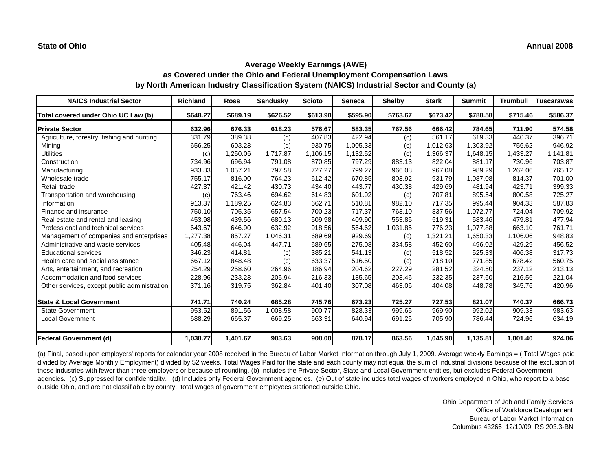| <b>NAICS Industrial Sector</b>               | <b>Richland</b> | <b>Ross</b> | <b>Sandusky</b> | <b>Scioto</b> | <b>Seneca</b> | <b>Shelby</b> | <b>Stark</b> | <b>Summit</b> | <b>Trumbull</b> | <b>Tuscarawas</b> |
|----------------------------------------------|-----------------|-------------|-----------------|---------------|---------------|---------------|--------------|---------------|-----------------|-------------------|
| Total covered under Ohio UC Law (b)          | \$648.27        | \$689.19    | \$626.52        | \$613.90      | \$595.90      | \$763.67      | \$673.42     | \$788.58      | \$715.46        | \$586.37          |
| <b>Private Sector</b>                        | 632.96          | 676.33      | 618.23          | 576.67        | 583.35        | 767.56        | 666.42       | 784.65        | 711.90          | 574.58            |
| Agriculture, forestry, fishing and hunting   | 331.79          | 389.38      | (c)             | 407.83        | 422.94        | (c)           | 561.17       | 619.33        | 440.37          | 396.71            |
| Mining                                       | 656.25          | 603.23      | (c)             | 930.75        | 1,005.33      | (c)           | 1,012.63     | 1,303.92      | 756.62          | 946.92            |
| <b>Utilities</b>                             | (c)             | .250.06     | 1,717.87        | 1,106.15      | 1,132.52      | (c)           | 1,366.37     | 1,648.15      | 1,433.27        | 1,141.81          |
| Construction                                 | 734.96          | 696.94      | 791.08          | 870.85        | 797.29        | 883.13        | 822.04       | 881.17        | 730.96          | 703.87            |
| Manufacturing                                | 933.83          | 1,057.21    | 797.58          | 727.27        | 799.27        | 966.08        | 967.08       | 989.29        | 1,262.06        | 765.12            |
| Wholesale trade                              | 755.17          | 816.00      | 764.23          | 612.42        | 670.85        | 803.92        | 931.79       | 1,087.08      | 814.37          | 701.00            |
| Retail trade                                 | 427.37          | 421.42      | 430.73          | 434.40        | 443.77        | 430.38        | 429.69       | 481.94        | 423.71          | 399.33            |
| Transportation and warehousing               | (c)             | 763.46      | 694.62          | 614.83        | 601.92        | (c)           | 707.81       | 895.54        | 800.58          | 725.27            |
| Information                                  | 913.37          | 1,189.25    | 624.83          | 662.71        | 510.81        | 982.10        | 717.35       | 995.44        | 904.33          | 587.83            |
| Finance and insurance                        | 750.10          | 705.35      | 657.54          | 700.23        | 717.37        | 763.10        | 837.56       | 1,072.77      | 724.04          | 709.92            |
| Real estate and rental and leasing           | 453.98          | 439.56      | 680.13          | 509.98        | 409.90        | 553.85        | 519.31       | 583.46        | 479.81          | 477.94            |
| Professional and technical services          | 643.67          | 646.90      | 632.92          | 918.56        | 564.62        | 1,031.85      | 776.23       | 1,077.88      | 663.10          | 761.71            |
| Management of companies and enterprises      | 1,277.38        | 857.27      | 1,046.31        | 689.69        | 929.69        | (c)           | 1,321.21     | 1,650.33      | 1,106.06        | 948.83            |
| Administrative and waste services            | 405.48          | 446.04      | 447.71          | 689.65        | 275.08        | 334.58        | 452.60       | 496.02        | 429.29          | 456.52            |
| <b>Educational services</b>                  | 346.23          | 414.81      | (c)             | 385.21        | 541.13        | (c)           | 518.52       | 525.33        | 406.38          | 317.73            |
| Health care and social assistance            | 667.12          | 848.48      | (c)             | 633.37        | 516.50        | (c)           | 718.10       | 771.85        | 678.42          | 560.75            |
| Arts, entertainment, and recreation          | 254.29          | 258.60      | 264.96          | 186.94        | 204.62        | 227.29        | 281.52       | 324.50        | 237.12          | 213.13            |
| Accommodation and food services              | 228.96          | 233.23      | 205.94          | 216.33        | 185.65        | 203.46        | 232.35       | 237.60        | 216.56          | 221.04            |
| Other services, except public administration | 371.16          | 319.75      | 362.84          | 401.40        | 307.08        | 463.06        | 404.08       | 448.78        | 345.76          | 420.96            |
| <b>State &amp; Local Government</b>          | 741.71          | 740.24      | 685.28          | 745.76        | 673.23        | 725.27        | 727.53       | 821.07        | 740.37          | 666.73            |
| <b>State Government</b>                      | 953.52          | 891.56      | 1.008.58        | 900.77        | 828.33        | 999.65        | 969.90       | 992.02        | 909.33          | 983.63            |
| <b>Local Government</b>                      | 688.29          | 665.37      | 669.25          | 663.31        | 640.94        | 691.25        | 705.90       | 786.44        | 724.96          | 634.19            |
| <b>Federal Government (d)</b>                | 1,038.77        | 1,401.67    | 903.63          | 908.00        | 878.17        | 863.56        | 1,045.90     | 1,135.81      | 1,001.40        | 924.06            |

(a) Final, based upon employers' reports for calendar year 2008 received in the Bureau of Labor Market Information through July 1, 2009. Average weekly Earnings = ( Total Wages paid divided by Average Monthly Employment) divided by 52 weeks. Total Wages Paid for the state and each county may not equal the sum of industrial divisions because of the exclusion of those industries with fewer than three employers or because of rounding. (b) Includes the Private Sector, State and Local Government entities, but excludes Federal Government agencies. (c) Suppressed for confidentiality. (d) Includes only Federal Government agencies. (e) Out of state includes total wages of workers employed in Ohio, who report to a base outside Ohio, and are not classifiable by county; total wages of government employees stationed outside Ohio.